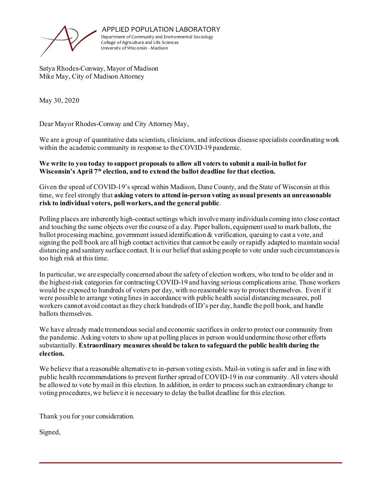

APPLIED POPULATION LABORATORY

Department of Community and Environmental Sociology College of Agriculture and Life Sciences University of Wisconsin - Madison

Satya Rhodes-Conway, Mayor of Madison Mike May, City of Madison Attorney

May 30, 2020

Dear Mayor Rhodes-Conway and City Attorney May,

We are a group of quantitative data scientists, clinicians, and infectious disease specialists coordinating work within the academic community in response to the COVID-19 pandemic.

## **We write to you today to support proposals to allow all voters to submit a mail-in ballot for**  Wisconsin's April 7<sup>th</sup> election, and to extend the ballot deadline for that election.

Given the speed of COVID-19's spread within Madison, Dane County, and the State of Wisconsin at this time, we feel strongly that **asking voters to attend in-person voting as usual presents an unreasonable risk to individual voters, poll workers, and the general public**.

Polling places are inherently high-contact settings which involve many individuals coming into close contact and touching the same objects over the course of a day. Paper ballots, equipment used to mark ballots, the ballot processing machine, government issued identification & verification, queuing to cast a vote, and signing the poll book are all high contact activities that cannot be easily or rapidly adapted to maintain social distancing and sanitary surface contact. It is our belief that asking people to vote under such circumstances is too high risk at this time.

In particular, we are especially concerned about the safety of election workers, who tend to be older and in the highest-risk categories for contracting COVID-19 and having serious complications arise. Those workers would be exposed to hundreds of voters per day, with no reasonable way to protect themselves. Even if it were possible to arrange voting lines in accordance with public health social distancing measures, poll workers cannot avoid contact as they check hundreds of ID's per day, handle the poll book, and handle ballots themselves.

We have already made tremendous social and economic sacrifices in order to protect our community from the pandemic. Asking voters to show up at polling places in person would undermine those other efforts substantially. **Extraordinary measures should be taken to safeguard the public health during the election.** 

We believe that a reasonable alternative to in-person voting exists. Mail-in voting is safer and in line with public health recommendations to prevent further spread of COVID-19 in our community. All voters should be allowed to vote by mail in this election. In addition, in order to process such an extraordinary change to voting procedures, we believe it is necessary to delay the ballot deadline for this election.

Thank you for your consideration.

Signed,